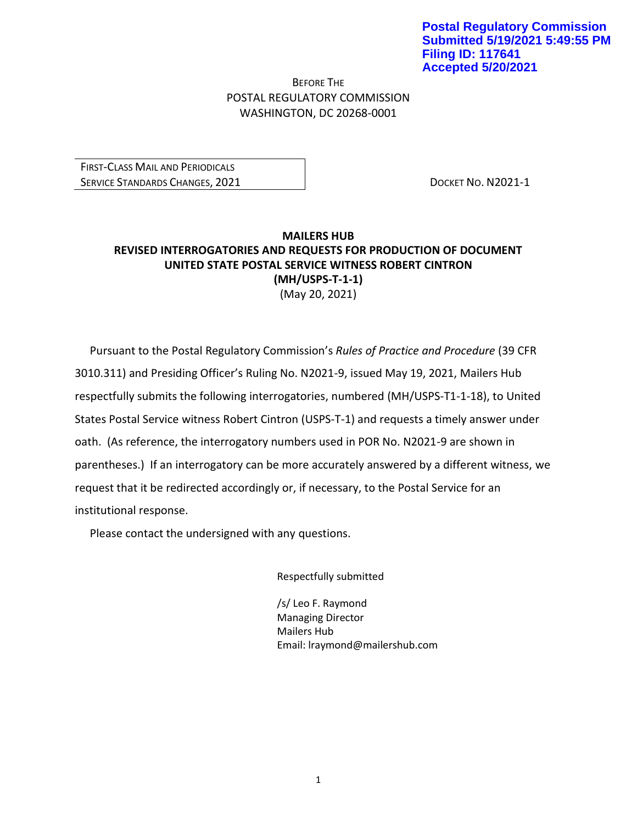BEFORE THE POSTAL REGULATORY COMMISSION WASHINGTON, DC 20268-0001

FIRST-CLASS MAIL AND PERIODICALS SERVICE STANDARDS CHANGES, 2021 **DOCKET NO. N2021-1** 

## **MAILERS HUB REVISED INTERROGATORIES AND REQUESTS FOR PRODUCTION OF DOCUMENT UNITED STATE POSTAL SERVICE WITNESS ROBERT CINTRON (MH/USPS-T-1-1)** (May 20, 2021)

Pursuant to the Postal Regulatory Commission's *Rules of Practice and Procedure* (39 CFR 3010.311) and Presiding Officer's Ruling No. N2021-9, issued May 19, 2021, Mailers Hub respectfully submits the following interrogatories, numbered (MH/USPS-T1-1-18), to United States Postal Service witness Robert Cintron (USPS-T-1) and requests a timely answer under oath. (As reference, the interrogatory numbers used in POR No. N2021-9 are shown in parentheses.) If an interrogatory can be more accurately answered by a different witness, we request that it be redirected accordingly or, if necessary, to the Postal Service for an institutional response.

Please contact the undersigned with any questions.

Respectfully submitted

/s/ Leo F. Raymond Managing Director Mailers Hub Email: lraymond@mailershub.com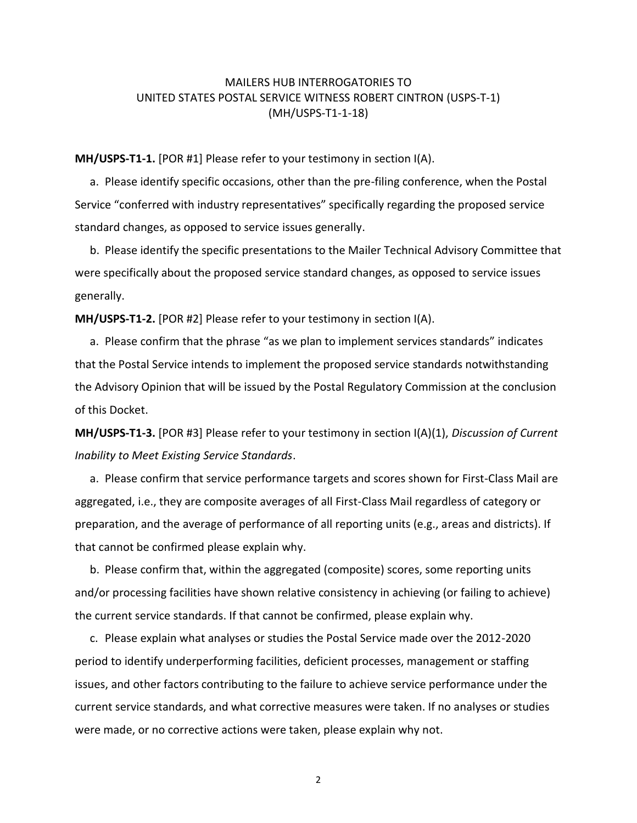## MAILERS HUB INTERROGATORIES TO UNITED STATES POSTAL SERVICE WITNESS ROBERT CINTRON (USPS-T-1) (MH/USPS-T1-1-18)

**MH/USPS-T1-1.** [POR #1] Please refer to your testimony in section I(A).

a. Please identify specific occasions, other than the pre-filing conference, when the Postal Service "conferred with industry representatives" specifically regarding the proposed service standard changes, as opposed to service issues generally.

b. Please identify the specific presentations to the Mailer Technical Advisory Committee that were specifically about the proposed service standard changes, as opposed to service issues generally.

**MH/USPS-T1-2.** [POR #2] Please refer to your testimony in section I(A).

a. Please confirm that the phrase "as we plan to implement services standards" indicates that the Postal Service intends to implement the proposed service standards notwithstanding the Advisory Opinion that will be issued by the Postal Regulatory Commission at the conclusion of this Docket.

**MH/USPS-T1-3.** [POR #3] Please refer to your testimony in section I(A)(1), *Discussion of Current Inability to Meet Existing Service Standards*.

a. Please confirm that service performance targets and scores shown for First-Class Mail are aggregated, i.e., they are composite averages of all First-Class Mail regardless of category or preparation, and the average of performance of all reporting units (e.g., areas and districts). If that cannot be confirmed please explain why.

b. Please confirm that, within the aggregated (composite) scores, some reporting units and/or processing facilities have shown relative consistency in achieving (or failing to achieve) the current service standards. If that cannot be confirmed, please explain why.

c. Please explain what analyses or studies the Postal Service made over the 2012-2020 period to identify underperforming facilities, deficient processes, management or staffing issues, and other factors contributing to the failure to achieve service performance under the current service standards, and what corrective measures were taken. If no analyses or studies were made, or no corrective actions were taken, please explain why not.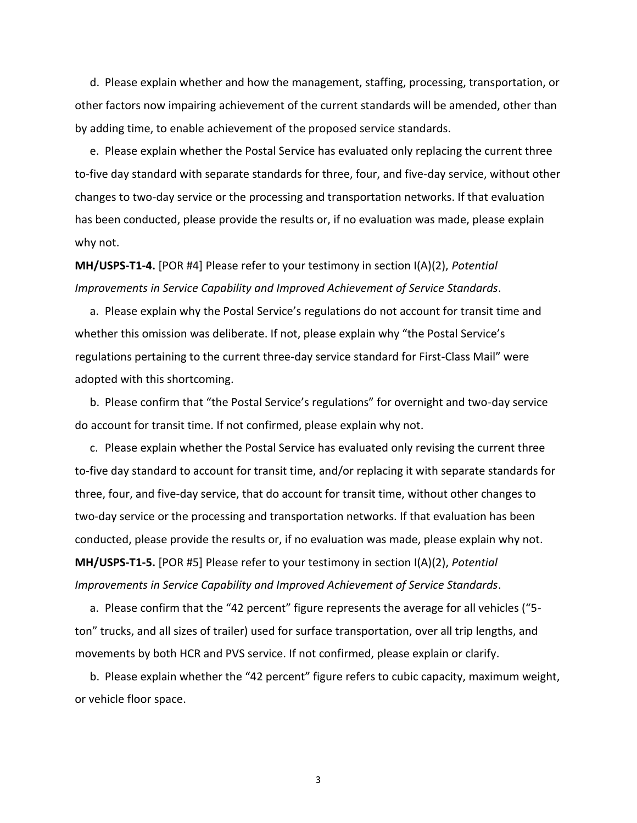d. Please explain whether and how the management, staffing, processing, transportation, or other factors now impairing achievement of the current standards will be amended, other than by adding time, to enable achievement of the proposed service standards.

e. Please explain whether the Postal Service has evaluated only replacing the current three to-five day standard with separate standards for three, four, and five-day service, without other changes to two-day service or the processing and transportation networks. If that evaluation has been conducted, please provide the results or, if no evaluation was made, please explain why not.

## **MH/USPS-T1-4.** [POR #4] Please refer to your testimony in section I(A)(2), *Potential Improvements in Service Capability and Improved Achievement of Service Standards*.

a. Please explain why the Postal Service's regulations do not account for transit time and whether this omission was deliberate. If not, please explain why "the Postal Service's regulations pertaining to the current three-day service standard for First-Class Mail" were adopted with this shortcoming.

b. Please confirm that "the Postal Service's regulations" for overnight and two-day service do account for transit time. If not confirmed, please explain why not.

c. Please explain whether the Postal Service has evaluated only revising the current three to-five day standard to account for transit time, and/or replacing it with separate standards for three, four, and five-day service, that do account for transit time, without other changes to two-day service or the processing and transportation networks. If that evaluation has been conducted, please provide the results or, if no evaluation was made, please explain why not. **MH/USPS-T1-5.** [POR #5] Please refer to your testimony in section I(A)(2), *Potential Improvements in Service Capability and Improved Achievement of Service Standards*.

a. Please confirm that the "42 percent" figure represents the average for all vehicles ("5 ton" trucks, and all sizes of trailer) used for surface transportation, over all trip lengths, and movements by both HCR and PVS service. If not confirmed, please explain or clarify.

b. Please explain whether the "42 percent" figure refers to cubic capacity, maximum weight, or vehicle floor space.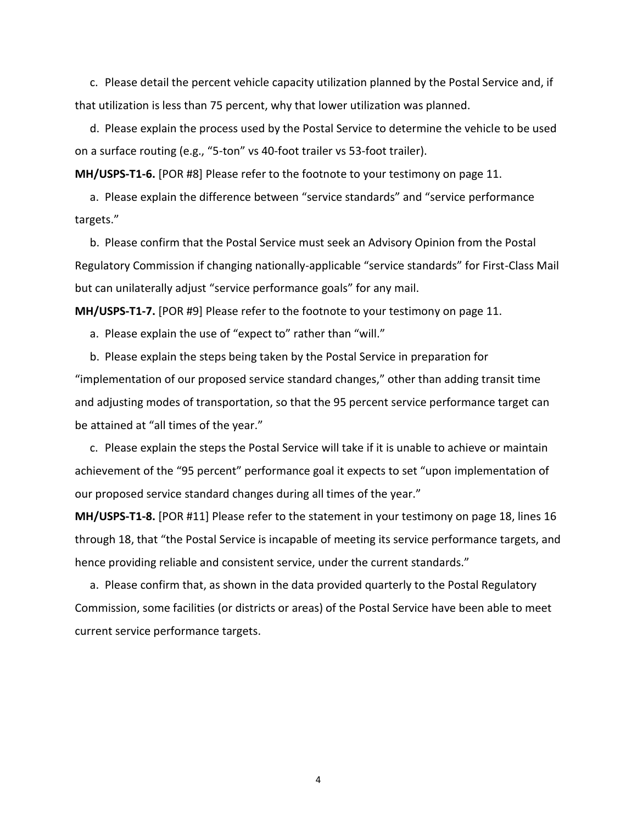c. Please detail the percent vehicle capacity utilization planned by the Postal Service and, if that utilization is less than 75 percent, why that lower utilization was planned.

d. Please explain the process used by the Postal Service to determine the vehicle to be used on a surface routing (e.g., "5-ton" vs 40-foot trailer vs 53-foot trailer).

**MH/USPS-T1-6.** [POR #8] Please refer to the footnote to your testimony on page 11.

a. Please explain the difference between "service standards" and "service performance targets."

b. Please confirm that the Postal Service must seek an Advisory Opinion from the Postal Regulatory Commission if changing nationally-applicable "service standards" for First-Class Mail but can unilaterally adjust "service performance goals" for any mail.

**MH/USPS-T1-7.** [POR #9] Please refer to the footnote to your testimony on page 11.

a. Please explain the use of "expect to" rather than "will."

b. Please explain the steps being taken by the Postal Service in preparation for "implementation of our proposed service standard changes," other than adding transit time and adjusting modes of transportation, so that the 95 percent service performance target can be attained at "all times of the year."

c. Please explain the steps the Postal Service will take if it is unable to achieve or maintain achievement of the "95 percent" performance goal it expects to set "upon implementation of our proposed service standard changes during all times of the year."

**MH/USPS-T1-8.** [POR #11] Please refer to the statement in your testimony on page 18, lines 16 through 18, that "the Postal Service is incapable of meeting its service performance targets, and hence providing reliable and consistent service, under the current standards."

a. Please confirm that, as shown in the data provided quarterly to the Postal Regulatory Commission, some facilities (or districts or areas) of the Postal Service have been able to meet current service performance targets.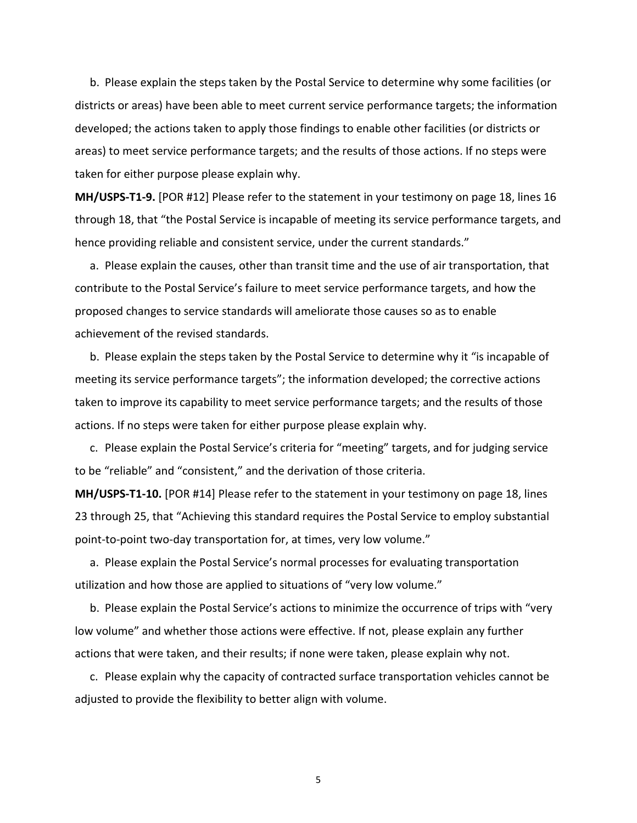b. Please explain the steps taken by the Postal Service to determine why some facilities (or districts or areas) have been able to meet current service performance targets; the information developed; the actions taken to apply those findings to enable other facilities (or districts or areas) to meet service performance targets; and the results of those actions. If no steps were taken for either purpose please explain why.

**MH/USPS-T1-9.** [POR #12] Please refer to the statement in your testimony on page 18, lines 16 through 18, that "the Postal Service is incapable of meeting its service performance targets, and hence providing reliable and consistent service, under the current standards."

a. Please explain the causes, other than transit time and the use of air transportation, that contribute to the Postal Service's failure to meet service performance targets, and how the proposed changes to service standards will ameliorate those causes so as to enable achievement of the revised standards.

b. Please explain the steps taken by the Postal Service to determine why it "is incapable of meeting its service performance targets"; the information developed; the corrective actions taken to improve its capability to meet service performance targets; and the results of those actions. If no steps were taken for either purpose please explain why.

c. Please explain the Postal Service's criteria for "meeting" targets, and for judging service to be "reliable" and "consistent," and the derivation of those criteria.

**MH/USPS-T1-10.** [POR #14] Please refer to the statement in your testimony on page 18, lines 23 through 25, that "Achieving this standard requires the Postal Service to employ substantial point-to-point two-day transportation for, at times, very low volume."

a. Please explain the Postal Service's normal processes for evaluating transportation utilization and how those are applied to situations of "very low volume."

b. Please explain the Postal Service's actions to minimize the occurrence of trips with "very low volume" and whether those actions were effective. If not, please explain any further actions that were taken, and their results; if none were taken, please explain why not.

c. Please explain why the capacity of contracted surface transportation vehicles cannot be adjusted to provide the flexibility to better align with volume.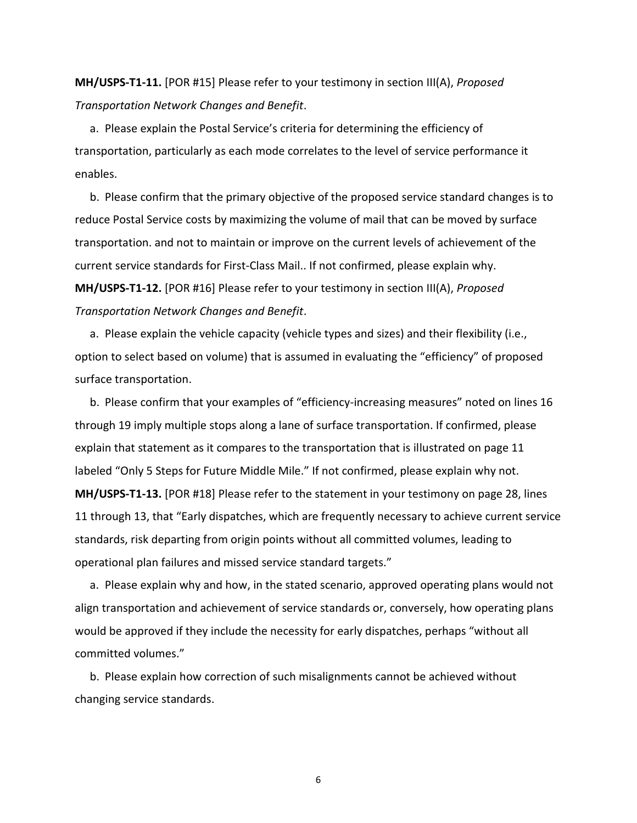**MH/USPS-T1-11.** [POR #15] Please refer to your testimony in section III(A), *Proposed Transportation Network Changes and Benefit*.

a. Please explain the Postal Service's criteria for determining the efficiency of transportation, particularly as each mode correlates to the level of service performance it enables.

b. Please confirm that the primary objective of the proposed service standard changes is to reduce Postal Service costs by maximizing the volume of mail that can be moved by surface transportation. and not to maintain or improve on the current levels of achievement of the current service standards for First-Class Mail.. If not confirmed, please explain why. **MH/USPS-T1-12.** [POR #16] Please refer to your testimony in section III(A), *Proposed Transportation Network Changes and Benefit*.

a. Please explain the vehicle capacity (vehicle types and sizes) and their flexibility (i.e., option to select based on volume) that is assumed in evaluating the "efficiency" of proposed surface transportation.

b. Please confirm that your examples of "efficiency-increasing measures" noted on lines 16 through 19 imply multiple stops along a lane of surface transportation. If confirmed, please explain that statement as it compares to the transportation that is illustrated on page 11 labeled "Only 5 Steps for Future Middle Mile." If not confirmed, please explain why not. **MH/USPS-T1-13.** [POR #18] Please refer to the statement in your testimony on page 28, lines 11 through 13, that "Early dispatches, which are frequently necessary to achieve current service standards, risk departing from origin points without all committed volumes, leading to operational plan failures and missed service standard targets."

a. Please explain why and how, in the stated scenario, approved operating plans would not align transportation and achievement of service standards or, conversely, how operating plans would be approved if they include the necessity for early dispatches, perhaps "without all committed volumes."

b. Please explain how correction of such misalignments cannot be achieved without changing service standards.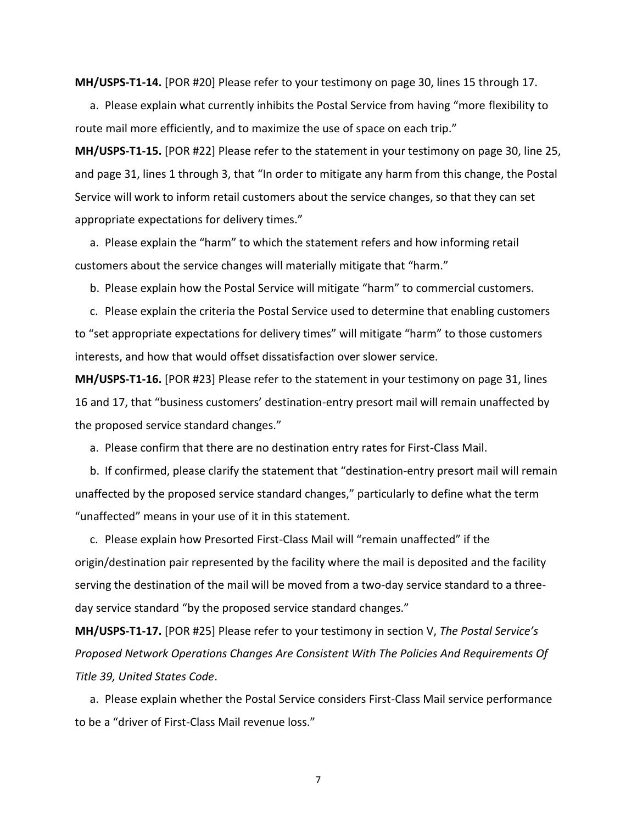**MH/USPS-T1-14.** [POR #20] Please refer to your testimony on page 30, lines 15 through 17.

a. Please explain what currently inhibits the Postal Service from having "more flexibility to route mail more efficiently, and to maximize the use of space on each trip."

**MH/USPS-T1-15.** [POR #22] Please refer to the statement in your testimony on page 30, line 25, and page 31, lines 1 through 3, that "In order to mitigate any harm from this change, the Postal Service will work to inform retail customers about the service changes, so that they can set appropriate expectations for delivery times."

a. Please explain the "harm" to which the statement refers and how informing retail customers about the service changes will materially mitigate that "harm."

b. Please explain how the Postal Service will mitigate "harm" to commercial customers.

c. Please explain the criteria the Postal Service used to determine that enabling customers to "set appropriate expectations for delivery times" will mitigate "harm" to those customers interests, and how that would offset dissatisfaction over slower service.

**MH/USPS-T1-16.** [POR #23] Please refer to the statement in your testimony on page 31, lines 16 and 17, that "business customers' destination-entry presort mail will remain unaffected by the proposed service standard changes."

a. Please confirm that there are no destination entry rates for First-Class Mail.

b. If confirmed, please clarify the statement that "destination-entry presort mail will remain unaffected by the proposed service standard changes," particularly to define what the term "unaffected" means in your use of it in this statement.

c. Please explain how Presorted First-Class Mail will "remain unaffected" if the origin/destination pair represented by the facility where the mail is deposited and the facility serving the destination of the mail will be moved from a two-day service standard to a threeday service standard "by the proposed service standard changes."

**MH/USPS-T1-17.** [POR #25] Please refer to your testimony in section V, *The Postal Service's Proposed Network Operations Changes Are Consistent With The Policies And Requirements Of Title 39, United States Code*.

a. Please explain whether the Postal Service considers First-Class Mail service performance to be a "driver of First-Class Mail revenue loss."